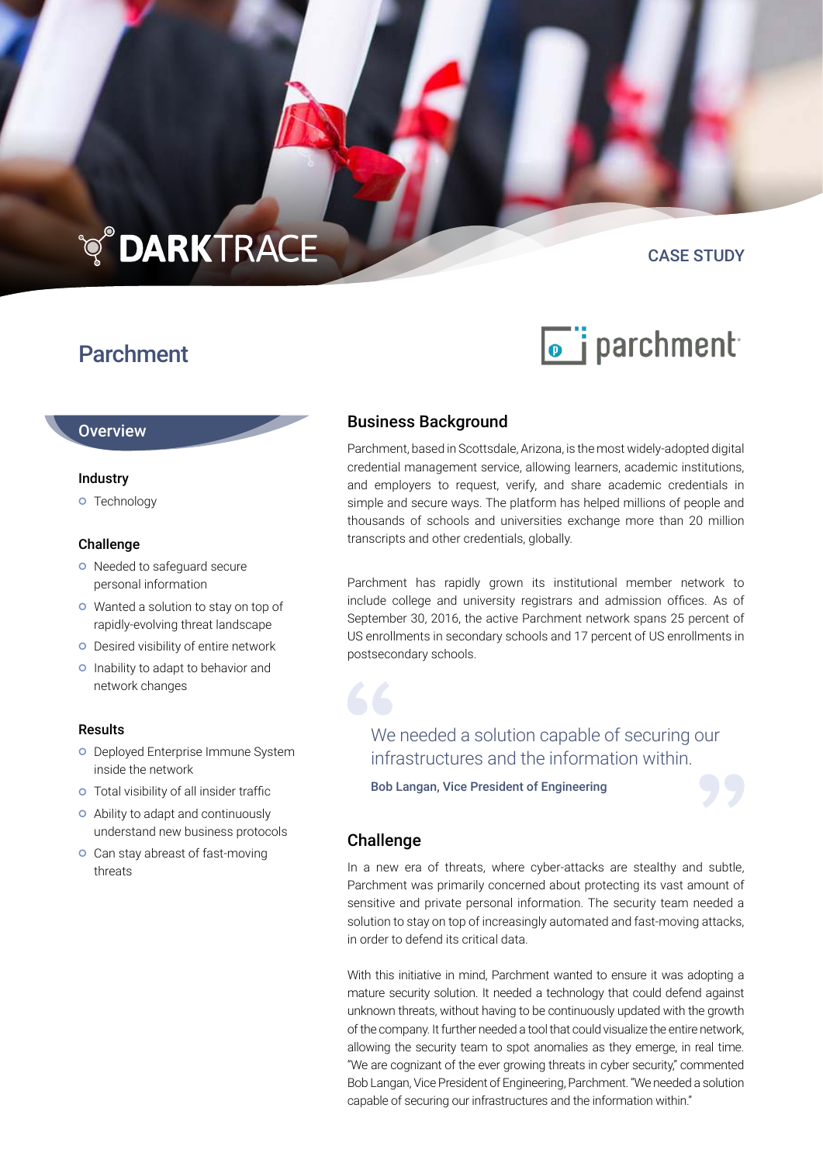# **TO DARKTRACE**

# Parchment

# CASE STUDY



## **Overview**

#### Industry

**o** Technology

#### Challenge

- o Needed to safeguard secure personal information
- Wanted a solution to stay on top of rapidly-evolving threat landscape
- **O** Desired visibility of entire network
- o Inability to adapt to behavior and network changes

#### Results

- **O** Deployed Enterprise Immune System inside the network
- Total visibility of all insider traffic
- Ability to adapt and continuously understand new business protocols
- **o** Can stay abreast of fast-moving threats

# Business Background

Parchment, based in Scottsdale, Arizona, is the most widely-adopted digital credential management service, allowing learners, academic institutions, and employers to request, verify, and share academic credentials in simple and secure ways. The platform has helped millions of people and thousands of schools and universities exchange more than 20 million transcripts and other credentials, globally.

Parchment has rapidly grown its institutional member network to include college and university registrars and admission offices. As of September 30, 2016, the active Parchment network spans 25 percent of US enrollments in secondary schools and 17 percent of US enrollments in postsecondary schools.

We needed a solution capable of securing our infrastructures and the information within.

Bob Langan, Vice President of Engineering

# **Challenge**

In a new era of threats, where cyber-attacks are stealthy and subtle, Parchment was primarily concerned about protecting its vast amount of sensitive and private personal information. The security team needed a solution to stay on top of increasingly automated and fast-moving attacks, in order to defend its critical data.

With this initiative in mind, Parchment wanted to ensure it was adopting a mature security solution. It needed a technology that could defend against unknown threats, without having to be continuously updated with the growth of the company. It further needed a tool that could visualize the entire network, allowing the security team to spot anomalies as they emerge, in real time. "We are cognizant of the ever growing threats in cyber security," commented Bob Langan, Vice President of Engineering, Parchment. "We needed a solution capable of securing our infrastructures and the information within."